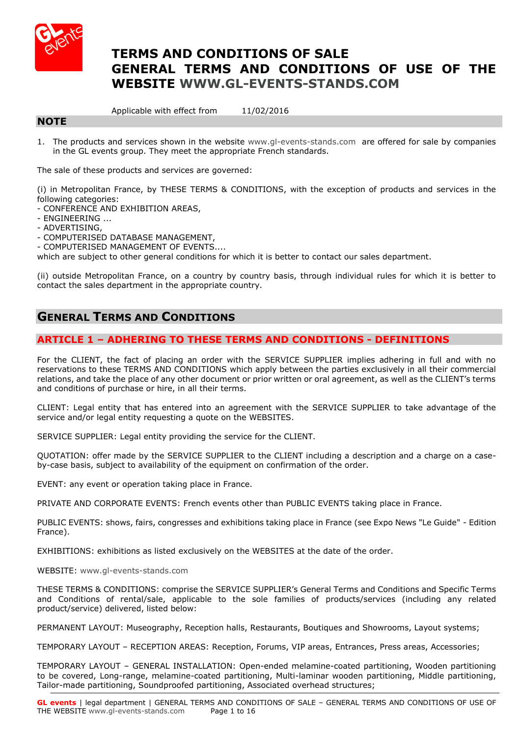

# **TERMS AND CONDITIONS OF SALE GENERAL TERMS AND CONDITIONS OF USE OF THE WEBSITE [WWW.GL-EVENTS-STANDS.COM](http://www.gl-events-stands.com/)**

Applicable with effect from 11/02/2016

# **NOTE**

1. The products and services shown in the website [www.gl-events-stands.com](http://www.gl-events-stands.com/) are offered for sale by companies in the GL events group. They meet the appropriate French standards.

The sale of these products and services are governed:

(i) in Metropolitan France, by THESE TERMS & CONDITIONS, with the exception of products and services in the following categories:

- CONFERENCE AND EXHIBITION AREAS,
- ENGINEERING ...
- ADVERTISING,
- COMPUTERISED DATABASE MANAGEMENT,

- COMPUTERISED MANAGEMENT OF EVENTS....

which are subject to other general conditions for which it is better to contact our sales department.

(ii) outside Metropolitan France, on a country by country basis, through individual rules for which it is better to contact the sales department in the appropriate country.

# **GENERAL TERMS AND CONDITIONS**

# **ARTICLE 1 – ADHERING TO THESE TERMS AND CONDITIONS - DEFINITIONS**

For the CLIENT, the fact of placing an order with the SERVICE SUPPLIER implies adhering in full and with no reservations to these TERMS AND CONDITIONS which apply between the parties exclusively in all their commercial relations, and take the place of any other document or prior written or oral agreement, as well as the CLIENT's terms and conditions of purchase or hire, in all their terms.

CLIENT: Legal entity that has entered into an agreement with the SERVICE SUPPLIER to take advantage of the service and/or legal entity requesting a quote on the WEBSITES.

SERVICE SUPPLIER: Legal entity providing the service for the CLIENT.

QUOTATION: offer made by the SERVICE SUPPLIER to the CLIENT including a description and a charge on a caseby-case basis, subject to availability of the equipment on confirmation of the order.

EVENT: any event or operation taking place in France.

PRIVATE AND CORPORATE EVENTS: French events other than PUBLIC EVENTS taking place in France.

PUBLIC EVENTS: shows, fairs, congresses and exhibitions taking place in France (see Expo News "Le Guide" - Edition France).

EXHIBITIONS: exhibitions as listed exclusively on the WEBSITES at the date of the order.

WEBSITE: [www.gl-events-stands.com](http://www.gl-events-stands.com/)

THESE TERMS & CONDITIONS: comprise the SERVICE SUPPLIER's General Terms and Conditions and Specific Terms and Conditions of rental/sale, applicable to the sole families of products/services (including any related product/service) delivered, listed below:

PERMANENT LAYOUT: Museography, Reception halls, Restaurants, Boutiques and Showrooms, Layout systems;

TEMPORARY LAYOUT – RECEPTION AREAS: Reception, Forums, VIP areas, Entrances, Press areas, Accessories;

TEMPORARY LAYOUT – GENERAL INSTALLATION: Open-ended melamine-coated partitioning, Wooden partitioning to be covered, Long-range, melamine-coated partitioning, Multi-laminar wooden partitioning, Middle partitioning, Tailor-made partitioning, Soundproofed partitioning, Associated overhead structures;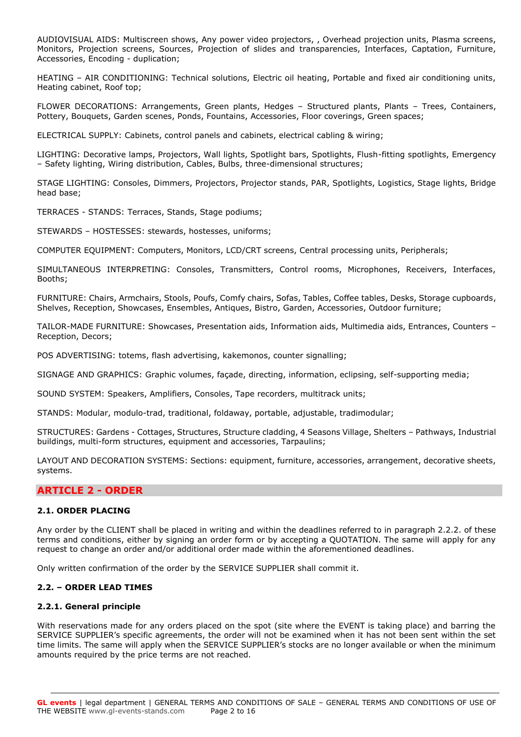AUDIOVISUAL AIDS: Multiscreen shows, Any power video projectors, , Overhead projection units, Plasma screens, Monitors, Projection screens, Sources, Projection of slides and transparencies, Interfaces, Captation, Furniture, Accessories, Encoding - duplication;

HEATING – AIR CONDITIONING: Technical solutions, Electric oil heating, Portable and fixed air conditioning units, Heating cabinet, Roof top;

FLOWER DECORATIONS: Arrangements, Green plants, Hedges – Structured plants, Plants – Trees, Containers, Pottery, Bouquets, Garden scenes, Ponds, Fountains, Accessories, Floor coverings, Green spaces;

ELECTRICAL SUPPLY: Cabinets, control panels and cabinets, electrical cabling & wiring;

LIGHTING: Decorative lamps, Projectors, Wall lights, Spotlight bars, Spotlights, Flush-fitting spotlights, Emergency – Safety lighting, Wiring distribution, Cables, Bulbs, three-dimensional structures;

STAGE LIGHTING: Consoles, Dimmers, Projectors, Projector stands, PAR, Spotlights, Logistics, Stage lights, Bridge head base;

TERRACES - STANDS: Terraces, Stands, Stage podiums;

STEWARDS – HOSTESSES: stewards, hostesses, uniforms;

COMPUTER EQUIPMENT: Computers, Monitors, LCD/CRT screens, Central processing units, Peripherals;

SIMULTANEOUS INTERPRETING: Consoles, Transmitters, Control rooms, Microphones, Receivers, Interfaces, Booths;

FURNITURE: Chairs, Armchairs, Stools, Poufs, Comfy chairs, Sofas, Tables, Coffee tables, Desks, Storage cupboards, Shelves, Reception, Showcases, Ensembles, Antiques, Bistro, Garden, Accessories, Outdoor furniture;

TAILOR-MADE FURNITURE: Showcases, Presentation aids, Information aids, Multimedia aids, Entrances, Counters – Reception, Decors;

POS ADVERTISING: totems, flash advertising, kakemonos, counter signalling;

SIGNAGE AND GRAPHICS: Graphic volumes, façade, directing, information, eclipsing, self-supporting media;

SOUND SYSTEM: Speakers, Amplifiers, Consoles, Tape recorders, multitrack units;

STANDS: Modular, modulo-trad, traditional, foldaway, portable, adjustable, tradimodular;

STRUCTURES: Gardens - Cottages, Structures, Structure cladding, 4 Seasons Village, Shelters – Pathways, Industrial buildings, multi-form structures, equipment and accessories, Tarpaulins;

LAYOUT AND DECORATION SYSTEMS: Sections: equipment, furniture, accessories, arrangement, decorative sheets, systems.

### **ARTICLE 2 - ORDER**

### **2.1. ORDER PLACING**

Any order by the CLIENT shall be placed in writing and within the deadlines referred to in paragraph 2.2.2. of these terms and conditions, either by signing an order form or by accepting a QUOTATION. The same will apply for any request to change an order and/or additional order made within the aforementioned deadlines.

Only written confirmation of the order by the SERVICE SUPPLIER shall commit it.

### **2.2. – ORDER LEAD TIMES**

### **2.2.1. General principle**

With reservations made for any orders placed on the spot (site where the EVENT is taking place) and barring the SERVICE SUPPLIER's specific agreements, the order will not be examined when it has not been sent within the set time limits. The same will apply when the SERVICE SUPPLIER's stocks are no longer available or when the minimum amounts required by the price terms are not reached.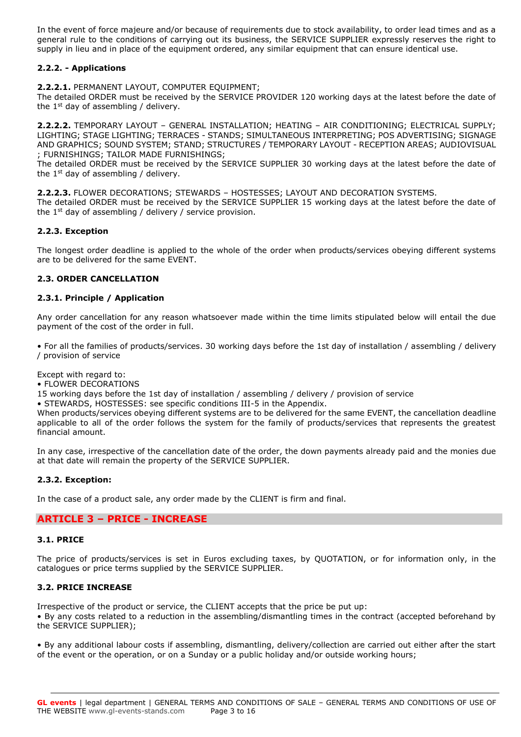In the event of force majeure and/or because of requirements due to stock availability, to order lead times and as a general rule to the conditions of carrying out its business, the SERVICE SUPPLIER expressly reserves the right to supply in lieu and in place of the equipment ordered, any similar equipment that can ensure identical use.

### **2.2.2. - Applications**

**2.2.2.1.** PERMANENT LAYOUT, COMPUTER EQUIPMENT;

The detailed ORDER must be received by the SERVICE PROVIDER 120 working days at the latest before the date of the  $1<sup>st</sup>$  day of assembling / delivery.

**2.2.2.2.** TEMPORARY LAYOUT – GENERAL INSTALLATION; HEATING – AIR CONDITIONING; ELECTRICAL SUPPLY; LIGHTING; STAGE LIGHTING; TERRACES - STANDS; SIMULTANEOUS INTERPRETING; POS ADVERTISING; SIGNAGE AND GRAPHICS; SOUND SYSTEM; STAND; STRUCTURES / TEMPORARY LAYOUT - RECEPTION AREAS; AUDIOVISUAL ; FURNISHINGS; TAILOR MADE FURNISHINGS;

The detailed ORDER must be received by the SERVICE SUPPLIER 30 working days at the latest before the date of the  $1<sup>st</sup>$  day of assembling / delivery.

**2.2.2.3.** FLOWER DECORATIONS; STEWARDS – HOSTESSES; LAYOUT AND DECORATION SYSTEMS.

The detailed ORDER must be received by the SERVICE SUPPLIER 15 working days at the latest before the date of the 1<sup>st</sup> day of assembling / delivery / service provision.

### **2.2.3. Exception**

The longest order deadline is applied to the whole of the order when products/services obeying different systems are to be delivered for the same EVENT.

### **2.3. ORDER CANCELLATION**

#### **2.3.1. Principle / Application**

Any order cancellation for any reason whatsoever made within the time limits stipulated below will entail the due payment of the cost of the order in full.

• For all the families of products/services. 30 working days before the 1st day of installation / assembling / delivery / provision of service

Except with regard to:

• FLOWER DECORATIONS

15 working days before the 1st day of installation / assembling / delivery / provision of service

• STEWARDS, HOSTESSES: see specific conditions III-5 in the Appendix.

When products/services obeying different systems are to be delivered for the same EVENT, the cancellation deadline applicable to all of the order follows the system for the family of products/services that represents the greatest financial amount.

In any case, irrespective of the cancellation date of the order, the down payments already paid and the monies due at that date will remain the property of the SERVICE SUPPLIER.

### **2.3.2. Exception:**

In the case of a product sale, any order made by the CLIENT is firm and final.

### **ARTICLE 3 – PRICE - INCREASE**

### **3.1. PRICE**

The price of products/services is set in Euros excluding taxes, by QUOTATION, or for information only, in the catalogues or price terms supplied by the SERVICE SUPPLIER.

### **3.2. PRICE INCREASE**

Irrespective of the product or service, the CLIENT accepts that the price be put up: • By any costs related to a reduction in the assembling/dismantling times in the contract (accepted beforehand by the SERVICE SUPPLIER);

• By any additional labour costs if assembling, dismantling, delivery/collection are carried out either after the start of the event or the operation, or on a Sunday or a public holiday and/or outside working hours;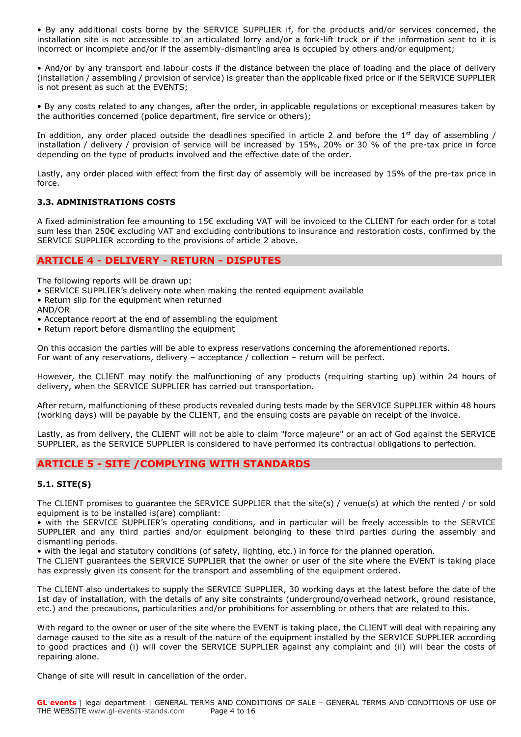• By any additional costs borne by the SERVICE SUPPLIER if, for the products and/or services concerned, the installation site is not accessible to an articulated lorry and/or a fork-lift truck or if the information sent to it is incorrect or incomplete and/or if the assembly-dismantling area is occupied by others and/or equipment;

• And/or by any transport and labour costs if the distance between the place of loading and the place of delivery (installation / assembling / provision of service) is greater than the applicable fixed price or if the SERVICE SUPPLIER is not present as such at the EVENTS;

• By any costs related to any changes, after the order, in applicable regulations or exceptional measures taken by the authorities concerned (police department, fire service or others);

In addition, any order placed outside the deadlines specified in article 2 and before the  $1<sup>st</sup>$  day of assembling / installation / delivery / provision of service will be increased by 15%, 20% or 30 % of the pre-tax price in force depending on the type of products involved and the effective date of the order.

Lastly, any order placed with effect from the first day of assembly will be increased by 15% of the pre-tax price in force.

### **3.3. ADMINISTRATIONS COSTS**

A fixed administration fee amounting to 15€ excluding VAT will be invoiced to the CLIENT for each order for a total sum less than 250€ excluding VAT and excluding contributions to insurance and restoration costs, confirmed by the SERVICE SUPPLIER according to the provisions of article 2 above.

# **ARTICLE 4 - DELIVERY - RETURN - DISPUTES**

The following reports will be drawn up:

- SERVICE SUPPLIER's delivery note when making the rented equipment available
- Return slip for the equipment when returned
- AND/OR
- Acceptance report at the end of assembling the equipment
- Return report before dismantling the equipment

On this occasion the parties will be able to express reservations concerning the aforementioned reports. For want of any reservations, delivery – acceptance / collection – return will be perfect.

However, the CLIENT may notify the malfunctioning of any products (requiring starting up) within 24 hours of delivery, when the SERVICE SUPPLIER has carried out transportation.

After return, malfunctioning of these products revealed during tests made by the SERVICE SUPPLIER within 48 hours (working days) will be payable by the CLIENT, and the ensuing costs are payable on receipt of the invoice.

Lastly, as from delivery, the CLIENT will not be able to claim "force majeure" or an act of God against the SERVICE SUPPLIER, as the SERVICE SUPPLIER is considered to have performed its contractual obligations to perfection.

### **ARTICLE 5 - SITE /COMPLYING WITH STANDARDS**

### **5.1. SITE(S)**

The CLIENT promises to guarantee the SERVICE SUPPLIER that the site(s) / venue(s) at which the rented / or sold equipment is to be installed is(are) compliant:

• with the SERVICE SUPPLIER's operating conditions, and in particular will be freely accessible to the SERVICE SUPPLIER and any third parties and/or equipment belonging to these third parties during the assembly and dismantling periods.

• with the legal and statutory conditions (of safety, lighting, etc.) in force for the planned operation.

The CLIENT guarantees the SERVICE SUPPLIER that the owner or user of the site where the EVENT is taking place has expressly given its consent for the transport and assembling of the equipment ordered.

The CLIENT also undertakes to supply the SERVICE SUPPLIER, 30 working days at the latest before the date of the 1st day of installation, with the details of any site constraints (underground/overhead network, ground resistance, etc.) and the precautions, particularities and/or prohibitions for assembling or others that are related to this.

With regard to the owner or user of the site where the EVENT is taking place, the CLIENT will deal with repairing any damage caused to the site as a result of the nature of the equipment installed by the SERVICE SUPPLIER according to good practices and (i) will cover the SERVICE SUPPLIER against any complaint and (ii) will bear the costs of repairing alone.

Change of site will result in cancellation of the order.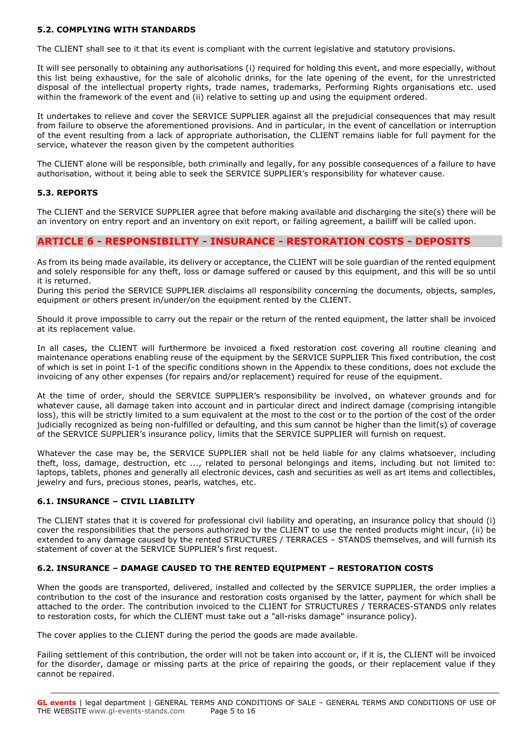### **5.2. COMPLYING WITH STANDARDS**

The CLIENT shall see to it that its event is compliant with the current legislative and statutory provisions.

It will see personally to obtaining any authorisations (i) required for holding this event, and more especially, without this list being exhaustive, for the sale of alcoholic drinks, for the late opening of the event, for the unrestricted disposal of the intellectual property rights, trade names, trademarks, Performing Rights organisations etc. used within the framework of the event and (ii) relative to setting up and using the equipment ordered.

It undertakes to relieve and cover the SERVICE SUPPLIER against all the prejudicial consequences that may result from failure to observe the aforementioned provisions. And in particular, in the event of cancellation or interruption of the event resulting from a lack of appropriate authorisation, the CLIENT remains liable for full payment for the service, whatever the reason given by the competent authorities

The CLIENT alone will be responsible, both criminally and legally, for any possible consequences of a failure to have authorisation, without it being able to seek the SERVICE SUPPLIER's responsibility for whatever cause.

### **5.3. REPORTS**

The CLIENT and the SERVICE SUPPLIER agree that before making available and discharging the site(s) there will be an inventory on entry report and an inventory on exit report, or failing agreement, a bailiff will be called upon.

### **ARTICLE 6 - RESPONSIBILITY - INSURANCE - RESTORATION COSTS - DEPOSITS**

As from its being made available, its delivery or acceptance, the CLIENT will be sole guardian of the rented equipment and solely responsible for any theft, loss or damage suffered or caused by this equipment, and this will be so until it is returned.

During this period the SERVICE SUPPLIER disclaims all responsibility concerning the documents, objects, samples, equipment or others present in/under/on the equipment rented by the CLIENT.

Should it prove impossible to carry out the repair or the return of the rented equipment, the latter shall be invoiced at its replacement value.

In all cases, the CLIENT will furthermore be invoiced a fixed restoration cost covering all routine cleaning and maintenance operations enabling reuse of the equipment by the SERVICE SUPPLIER This fixed contribution, the cost of which is set in point I-1 of the specific conditions shown in the Appendix to these conditions, does not exclude the invoicing of any other expenses (for repairs and/or replacement) required for reuse of the equipment.

At the time of order, should the SERVICE SUPPLIER's responsibility be involved, on whatever grounds and for whatever cause, all damage taken into account and in particular direct and indirect damage (comprising intangible loss), this will be strictly limited to a sum equivalent at the most to the cost or to the portion of the cost of the order judicially recognized as being non-fulfilled or defaulting, and this sum cannot be higher than the limit(s) of coverage of the SERVICE SUPPLIER's insurance policy, limits that the SERVICE SUPPLIER will furnish on request.

Whatever the case may be, the SERVICE SUPPLIER shall not be held liable for any claims whatsoever, including theft, loss, damage, destruction, etc ..., related to personal belongings and items, including but not limited to: laptops, tablets, phones and generally all electronic devices, cash and securities as well as art items and collectibles, jewelry and furs, precious stones, pearls, watches, etc.

### **6.1. INSURANCE – CIVIL LIABILITY**

The CLIENT states that it is covered for professional civil liability and operating, an insurance policy that should (i) cover the responsibilities that the persons authorized by the CLIENT to use the rented products might incur, (ii) be extended to any damage caused by the rented STRUCTURES / TERRACES – STANDS themselves, and will furnish its statement of cover at the SERVICE SUPPLIER's first request.

### **6.2. INSURANCE – DAMAGE CAUSED TO THE RENTED EQUIPMENT – RESTORATION COSTS**

When the goods are transported, delivered, installed and collected by the SERVICE SUPPLIER, the order implies a contribution to the cost of the insurance and restoration costs organised by the latter, payment for which shall be attached to the order. The contribution invoiced to the CLIENT for STRUCTURES / TERRACES-STANDS only relates to restoration costs, for which the CLIENT must take out a "all-risks damage" insurance policy).

The cover applies to the CLIENT during the period the goods are made available.

Failing settlement of this contribution, the order will not be taken into account or, if it is, the CLIENT will be invoiced for the disorder, damage or missing parts at the price of repairing the goods, or their replacement value if they cannot be repaired.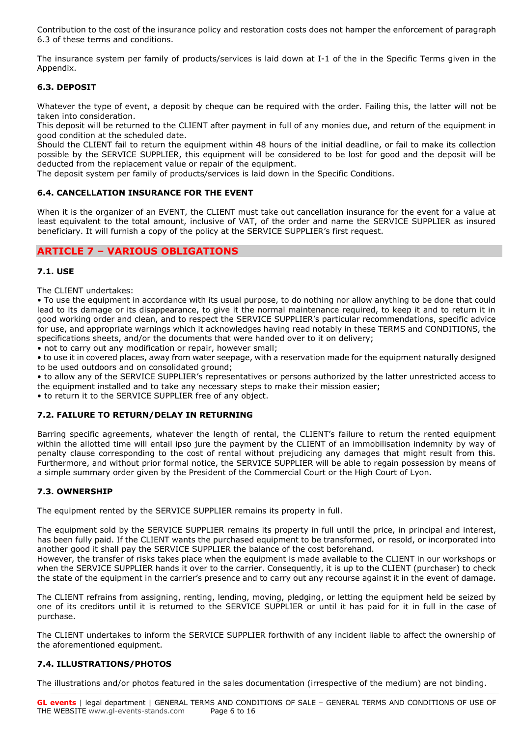Contribution to the cost of the insurance policy and restoration costs does not hamper the enforcement of paragraph 6.3 of these terms and conditions.

The insurance system per family of products/services is laid down at I-1 of the in the Specific Terms given in the Appendix.

### **6.3. DEPOSIT**

Whatever the type of event, a deposit by cheque can be required with the order. Failing this, the latter will not be taken into consideration.

This deposit will be returned to the CLIENT after payment in full of any monies due, and return of the equipment in good condition at the scheduled date.

Should the CLIENT fail to return the equipment within 48 hours of the initial deadline, or fail to make its collection possible by the SERVICE SUPPLIER, this equipment will be considered to be lost for good and the deposit will be deducted from the replacement value or repair of the equipment.

The deposit system per family of products/services is laid down in the Specific Conditions.

# **6.4. CANCELLATION INSURANCE FOR THE EVENT**

When it is the organizer of an EVENT, the CLIENT must take out cancellation insurance for the event for a value at least equivalent to the total amount, inclusive of VAT, of the order and name the SERVICE SUPPLIER as insured beneficiary. It will furnish a copy of the policy at the SERVICE SUPPLIER's first request.

# **ARTICLE 7 – VARIOUS OBLIGATIONS**

### **7.1. USE**

The CLIENT undertakes:

• To use the equipment in accordance with its usual purpose, to do nothing nor allow anything to be done that could lead to its damage or its disappearance, to give it the normal maintenance required, to keep it and to return it in good working order and clean, and to respect the SERVICE SUPPLIER's particular recommendations, specific advice for use, and appropriate warnings which it acknowledges having read notably in these TERMS and CONDITIONS, the specifications sheets, and/or the documents that were handed over to it on delivery;

• not to carry out any modification or repair, however small;

• to use it in covered places, away from water seepage, with a reservation made for the equipment naturally designed to be used outdoors and on consolidated ground;

• to allow any of the SERVICE SUPPLIER's representatives or persons authorized by the latter unrestricted access to the equipment installed and to take any necessary steps to make their mission easier;

• to return it to the SERVICE SUPPLIER free of any object.

### **7.2. FAILURE TO RETURN/DELAY IN RETURNING**

Barring specific agreements, whatever the length of rental, the CLIENT's failure to return the rented equipment within the allotted time will entail ipso jure the payment by the CLIENT of an immobilisation indemnity by way of penalty clause corresponding to the cost of rental without prejudicing any damages that might result from this. Furthermore, and without prior formal notice, the SERVICE SUPPLIER will be able to regain possession by means of a simple summary order given by the President of the Commercial Court or the High Court of Lyon.

### **7.3. OWNERSHIP**

The equipment rented by the SERVICE SUPPLIER remains its property in full.

The equipment sold by the SERVICE SUPPLIER remains its property in full until the price, in principal and interest, has been fully paid. If the CLIENT wants the purchased equipment to be transformed, or resold, or incorporated into another good it shall pay the SERVICE SUPPLIER the balance of the cost beforehand.

However, the transfer of risks takes place when the equipment is made available to the CLIENT in our workshops or when the SERVICE SUPPLIER hands it over to the carrier. Consequently, it is up to the CLIENT (purchaser) to check the state of the equipment in the carrier's presence and to carry out any recourse against it in the event of damage.

The CLIENT refrains from assigning, renting, lending, moving, pledging, or letting the equipment held be seized by one of its creditors until it is returned to the SERVICE SUPPLIER or until it has paid for it in full in the case of purchase.

The CLIENT undertakes to inform the SERVICE SUPPLIER forthwith of any incident liable to affect the ownership of the aforementioned equipment.

### **7.4. ILLUSTRATIONS/PHOTOS**

The illustrations and/or photos featured in the sales documentation (irrespective of the medium) are not binding.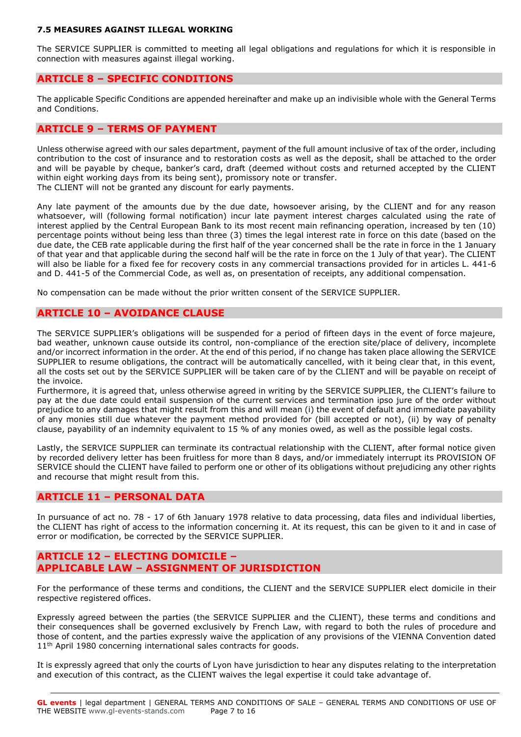#### **7.5 MEASURES AGAINST ILLEGAL WORKING**

The SERVICE SUPPLIER is committed to meeting all legal obligations and regulations for which it is responsible in connection with measures against illegal working.

# **ARTICLE 8 – SPECIFIC CONDITIONS**

The applicable Specific Conditions are appended hereinafter and make up an indivisible whole with the General Terms and Conditions.

### **ARTICLE 9 – TERMS OF PAYMENT**

Unless otherwise agreed with our sales department, payment of the full amount inclusive of tax of the order, including contribution to the cost of insurance and to restoration costs as well as the deposit, shall be attached to the order and will be payable by cheque, banker's card, draft (deemed without costs and returned accepted by the CLIENT within eight working days from its being sent), promissory note or transfer. The CLIENT will not be granted any discount for early payments.

Any late payment of the amounts due by the due date, howsoever arising, by the CLIENT and for any reason whatsoever, will (following formal notification) incur late payment interest charges calculated using the rate of interest applied by the Central European Bank to its most recent main refinancing operation, increased by ten (10) percentage points without being less than three (3) times the legal interest rate in force on this date (based on the due date, the CEB rate applicable during the first half of the year concerned shall be the rate in force in the 1 January of that year and that applicable during the second half will be the rate in force on the 1 July of that year). The CLIENT will also be liable for a fixed fee for recovery costs in any commercial transactions provided for in articles L. 441-6 and D. 441-5 of the Commercial Code, as well as, on presentation of receipts, any additional compensation.

No compensation can be made without the prior written consent of the SERVICE SUPPLIER.

### **ARTICLE 10 – AVOIDANCE CLAUSE**

The SERVICE SUPPLIER's obligations will be suspended for a period of fifteen days in the event of force majeure, bad weather, unknown cause outside its control, non-compliance of the erection site/place of delivery, incomplete and/or incorrect information in the order. At the end of this period, if no change has taken place allowing the SERVICE SUPPLIER to resume obligations, the contract will be automatically cancelled, with it being clear that, in this event, all the costs set out by the SERVICE SUPPLIER will be taken care of by the CLIENT and will be payable on receipt of the invoice.

Furthermore, it is agreed that, unless otherwise agreed in writing by the SERVICE SUPPLIER, the CLIENT's failure to pay at the due date could entail suspension of the current services and termination ipso jure of the order without prejudice to any damages that might result from this and will mean (i) the event of default and immediate payability of any monies still due whatever the payment method provided for (bill accepted or not), (ii) by way of penalty clause, payability of an indemnity equivalent to 15 % of any monies owed, as well as the possible legal costs.

Lastly, the SERVICE SUPPLIER can terminate its contractual relationship with the CLIENT, after formal notice given by recorded delivery letter has been fruitless for more than 8 days, and/or immediately interrupt its PROVISION OF SERVICE should the CLIENT have failed to perform one or other of its obligations without prejudicing any other rights and recourse that might result from this.

### **ARTICLE 11 – PERSONAL DATA**

In pursuance of act no. 78 - 17 of 6th January 1978 relative to data processing, data files and individual liberties, the CLIENT has right of access to the information concerning it. At its request, this can be given to it and in case of error or modification, be corrected by the SERVICE SUPPLIER.

### **ARTICLE 12 – ELECTING DOMICILE – APPLICABLE LAW – ASSIGNMENT OF JURISDICTION**

For the performance of these terms and conditions, the CLIENT and the SERVICE SUPPLIER elect domicile in their respective registered offices.

Expressly agreed between the parties (the SERVICE SUPPLIER and the CLIENT), these terms and conditions and their consequences shall be governed exclusively by French Law, with regard to both the rules of procedure and those of content, and the parties expressly waive the application of any provisions of the VIENNA Convention dated 11<sup>th</sup> April 1980 concerning international sales contracts for goods.

It is expressly agreed that only the courts of Lyon have jurisdiction to hear any disputes relating to the interpretation and execution of this contract, as the CLIENT waives the legal expertise it could take advantage of.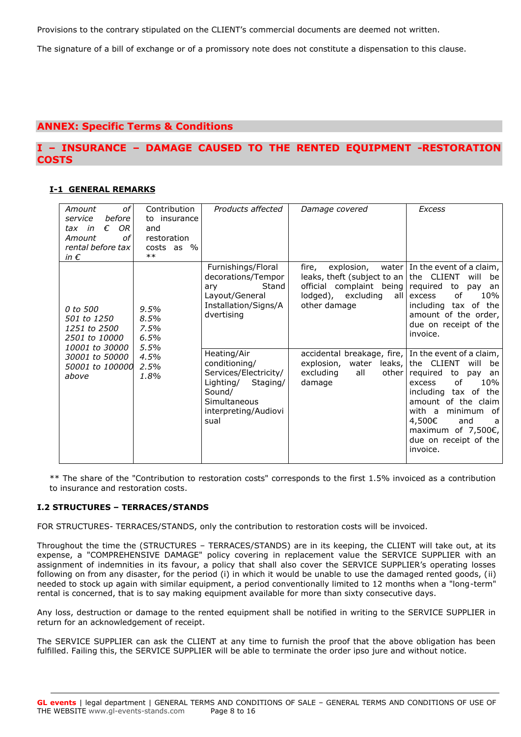Provisions to the contrary stipulated on the CLIENT's commercial documents are deemed not written.

The signature of a bill of exchange or of a promissory note does not constitute a dispensation to this clause.

# **ANNEX: Specific Terms & Conditions**

# **I – INSURANCE – DAMAGE CAUSED TO THE RENTED EQUIPMENT -RESTORATION COSTS**

### **I-1 GENERAL REMARKS**

| оf<br>Amount<br>before<br>service<br>OR.<br>€<br>tax in<br>οf<br>Amount<br>rental before tax<br>in $\epsilon$            | Contribution<br>to insurance<br>and<br>restoration<br>$costs$ as $\%$<br>$***$ | Products affected                                                                                                                        | Damage covered                                                                                                                 | Excess                                                                                                                                                                                                                                               |
|--------------------------------------------------------------------------------------------------------------------------|--------------------------------------------------------------------------------|------------------------------------------------------------------------------------------------------------------------------------------|--------------------------------------------------------------------------------------------------------------------------------|------------------------------------------------------------------------------------------------------------------------------------------------------------------------------------------------------------------------------------------------------|
| 0 to 500<br>501 to 1250<br>1251 to 2500<br>2501 to 10000<br>10001 to 30000<br>30001 to 50000<br>50001 to 100000<br>above | 9.5%<br>8.5%<br>7.5%<br>6.5%<br>5.5%<br>4.5%<br>2.5%<br>1.8%                   | Furnishings/Floral<br>decorations/Tempor<br>Stand<br>ary<br>Layout/General<br>Installation/Signs/A<br>dvertising                         | fire,<br>leaks, theft (subject to an $ $ the CLIENT<br>official complaint being<br>lodged), excluding<br>all l<br>other damage | explosion, water In the event of a claim,<br>will<br>be<br>required to<br>pay<br>an<br>10%<br>of<br>excess<br>including tax of the<br>amount of the order,<br>due on receipt of the<br>invoice.                                                      |
|                                                                                                                          |                                                                                | Heating/Air<br>conditioning/<br>Services/Electricity/<br>Lighting/<br>Staging/<br>Sound/<br>Simultaneous<br>interpreting/Audiovi<br>sual | accidental breakage, fire, In the event of a claim,<br>leaks,<br>water<br>explosion,<br>all<br>excluding<br>other<br>damage    | the CLIENT<br>will<br>be<br>required to<br>pay<br>an<br>10%<br>οf<br>excess<br>including tax of the<br>amount of the claim<br>with a<br>0f<br>minimum<br>4,500€<br>and<br>a<br>maximum of 7,500 $\varepsilon$ ,<br>due on receipt of the<br>invoice. |

\*\* The share of the "Contribution to restoration costs" corresponds to the first 1.5% invoiced as a contribution to insurance and restoration costs.

### **I.2 STRUCTURES – TERRACES/STANDS**

FOR STRUCTURES- TERRACES/STANDS, only the contribution to restoration costs will be invoiced.

Throughout the time the (STRUCTURES – TERRACES/STANDS) are in its keeping, the CLIENT will take out, at its expense, a "COMPREHENSIVE DAMAGE" policy covering in replacement value the SERVICE SUPPLIER with an assignment of indemnities in its favour, a policy that shall also cover the SERVICE SUPPLIER's operating losses following on from any disaster, for the period (i) in which it would be unable to use the damaged rented goods, (ii) needed to stock up again with similar equipment, a period conventionally limited to 12 months when a "long-term" rental is concerned, that is to say making equipment available for more than sixty consecutive days.

Any loss, destruction or damage to the rented equipment shall be notified in writing to the SERVICE SUPPLIER in return for an acknowledgement of receipt.

The SERVICE SUPPLIER can ask the CLIENT at any time to furnish the proof that the above obligation has been fulfilled. Failing this, the SERVICE SUPPLIER will be able to terminate the order ipso jure and without notice.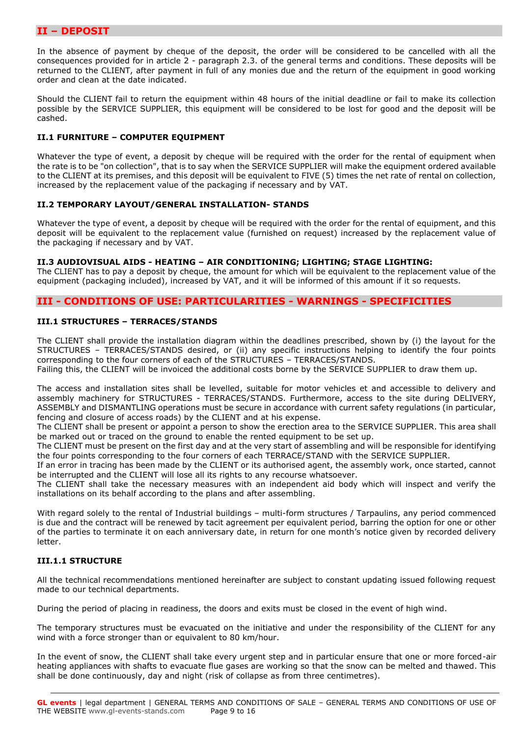### **II – DEPOSIT**

In the absence of payment by cheque of the deposit, the order will be considered to be cancelled with all the consequences provided for in article 2 - paragraph 2.3. of the general terms and conditions. These deposits will be returned to the CLIENT, after payment in full of any monies due and the return of the equipment in good working order and clean at the date indicated.

Should the CLIENT fail to return the equipment within 48 hours of the initial deadline or fail to make its collection possible by the SERVICE SUPPLIER, this equipment will be considered to be lost for good and the deposit will be cashed.

### **II.1 FURNITURE – COMPUTER EQUIPMENT**

Whatever the type of event, a deposit by cheque will be required with the order for the rental of equipment when the rate is to be "on collection", that is to say when the SERVICE SUPPLIER will make the equipment ordered available to the CLIENT at its premises, and this deposit will be equivalent to FIVE (5) times the net rate of rental on collection, increased by the replacement value of the packaging if necessary and by VAT.

### **II.2 TEMPORARY LAYOUT/GENERAL INSTALLATION- STANDS**

Whatever the type of event, a deposit by cheque will be required with the order for the rental of equipment, and this deposit will be equivalent to the replacement value (furnished on request) increased by the replacement value of the packaging if necessary and by VAT.

### **II.3 AUDIOVISUAL AIDS - HEATING – AIR CONDITIONING; LIGHTING; STAGE LIGHTING:**

The CLIENT has to pay a deposit by cheque, the amount for which will be equivalent to the replacement value of the equipment (packaging included), increased by VAT, and it will be informed of this amount if it so requests.

### **III - CONDITIONS OF USE: PARTICULARITIES - WARNINGS - SPECIFICITIES**

### **III.1 STRUCTURES – TERRACES/STANDS**

The CLIENT shall provide the installation diagram within the deadlines prescribed, shown by (i) the layout for the STRUCTURES – TERRACES/STANDS desired, or (ii) any specific instructions helping to identify the four points corresponding to the four corners of each of the STRUCTURES – TERRACES/STANDS.

Failing this, the CLIENT will be invoiced the additional costs borne by the SERVICE SUPPLIER to draw them up.

The access and installation sites shall be levelled, suitable for motor vehicles et and accessible to delivery and assembly machinery for STRUCTURES - TERRACES/STANDS. Furthermore, access to the site during DELIVERY, ASSEMBLY and DISMANTLING operations must be secure in accordance with current safety regulations (in particular, fencing and closure of access roads) by the CLIENT and at his expense.

The CLIENT shall be present or appoint a person to show the erection area to the SERVICE SUPPLIER. This area shall be marked out or traced on the ground to enable the rented equipment to be set up.

The CLIENT must be present on the first day and at the very start of assembling and will be responsible for identifying the four points corresponding to the four corners of each TERRACE/STAND with the SERVICE SUPPLIER.

If an error in tracing has been made by the CLIENT or its authorised agent, the assembly work, once started, cannot be interrupted and the CLIENT will lose all its rights to any recourse whatsoever.

The CLIENT shall take the necessary measures with an independent aid body which will inspect and verify the installations on its behalf according to the plans and after assembling.

With regard solely to the rental of Industrial buildings – multi-form structures / Tarpaulins, any period commenced is due and the contract will be renewed by tacit agreement per equivalent period, barring the option for one or other of the parties to terminate it on each anniversary date, in return for one month's notice given by recorded delivery letter.

### **III.1.1 STRUCTURE**

All the technical recommendations mentioned hereinafter are subject to constant updating issued following request made to our technical departments.

During the period of placing in readiness, the doors and exits must be closed in the event of high wind.

The temporary structures must be evacuated on the initiative and under the responsibility of the CLIENT for any wind with a force stronger than or equivalent to 80 km/hour.

In the event of snow, the CLIENT shall take every urgent step and in particular ensure that one or more forced-air heating appliances with shafts to evacuate flue gases are working so that the snow can be melted and thawed. This shall be done continuously, day and night (risk of collapse as from three centimetres).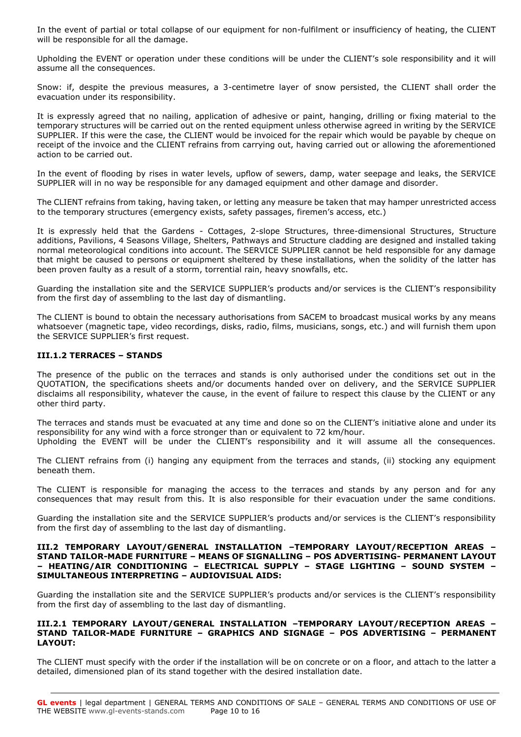In the event of partial or total collapse of our equipment for non-fulfilment or insufficiency of heating, the CLIENT will be responsible for all the damage.

Upholding the EVENT or operation under these conditions will be under the CLIENT's sole responsibility and it will assume all the consequences.

Snow: if, despite the previous measures, a 3-centimetre layer of snow persisted, the CLIENT shall order the evacuation under its responsibility.

It is expressly agreed that no nailing, application of adhesive or paint, hanging, drilling or fixing material to the temporary structures will be carried out on the rented equipment unless otherwise agreed in writing by the SERVICE SUPPLIER. If this were the case, the CLIENT would be invoiced for the repair which would be payable by cheque on receipt of the invoice and the CLIENT refrains from carrying out, having carried out or allowing the aforementioned action to be carried out.

In the event of flooding by rises in water levels, upflow of sewers, damp, water seepage and leaks, the SERVICE SUPPLIER will in no way be responsible for any damaged equipment and other damage and disorder.

The CLIENT refrains from taking, having taken, or letting any measure be taken that may hamper unrestricted access to the temporary structures (emergency exists, safety passages, firemen's access, etc.)

It is expressly held that the Gardens - Cottages, 2-slope Structures, three-dimensional Structures, Structure additions, Pavilions, 4 Seasons Village, Shelters, Pathways and Structure cladding are designed and installed taking normal meteorological conditions into account. The SERVICE SUPPLIER cannot be held responsible for any damage that might be caused to persons or equipment sheltered by these installations, when the solidity of the latter has been proven faulty as a result of a storm, torrential rain, heavy snowfalls, etc.

Guarding the installation site and the SERVICE SUPPLIER's products and/or services is the CLIENT's responsibility from the first day of assembling to the last day of dismantling.

The CLIENT is bound to obtain the necessary authorisations from SACEM to broadcast musical works by any means whatsoever (magnetic tape, video recordings, disks, radio, films, musicians, songs, etc.) and will furnish them upon the SERVICE SUPPLIER's first request.

### **III.1.2 TERRACES – STANDS**

The presence of the public on the terraces and stands is only authorised under the conditions set out in the QUOTATION, the specifications sheets and/or documents handed over on delivery, and the SERVICE SUPPLIER disclaims all responsibility, whatever the cause, in the event of failure to respect this clause by the CLIENT or any other third party.

The terraces and stands must be evacuated at any time and done so on the CLIENT's initiative alone and under its responsibility for any wind with a force stronger than or equivalent to 72 km/hour.

Upholding the EVENT will be under the CLIENT's responsibility and it will assume all the consequences.

The CLIENT refrains from (i) hanging any equipment from the terraces and stands, (ii) stocking any equipment beneath them.

The CLIENT is responsible for managing the access to the terraces and stands by any person and for any consequences that may result from this. It is also responsible for their evacuation under the same conditions.

Guarding the installation site and the SERVICE SUPPLIER's products and/or services is the CLIENT's responsibility from the first day of assembling to the last day of dismantling.

#### **III.2 TEMPORARY LAYOUT/GENERAL INSTALLATION –TEMPORARY LAYOUT/RECEPTION AREAS – STAND TAILOR-MADE FURNITURE – MEANS OF SIGNALLING – POS ADVERTISING- PERMANENT LAYOUT – HEATING/AIR CONDITIONING – ELECTRICAL SUPPLY – STAGE LIGHTING – SOUND SYSTEM – SIMULTANEOUS INTERPRETING – AUDIOVISUAL AIDS:**

Guarding the installation site and the SERVICE SUPPLIER's products and/or services is the CLIENT's responsibility from the first day of assembling to the last day of dismantling.

#### **III.2.1 TEMPORARY LAYOUT/GENERAL INSTALLATION –TEMPORARY LAYOUT/RECEPTION AREAS – STAND TAILOR-MADE FURNITURE – GRAPHICS AND SIGNAGE – POS ADVERTISING – PERMANENT LAYOUT:**

The CLIENT must specify with the order if the installation will be on concrete or on a floor, and attach to the latter a detailed, dimensioned plan of its stand together with the desired installation date.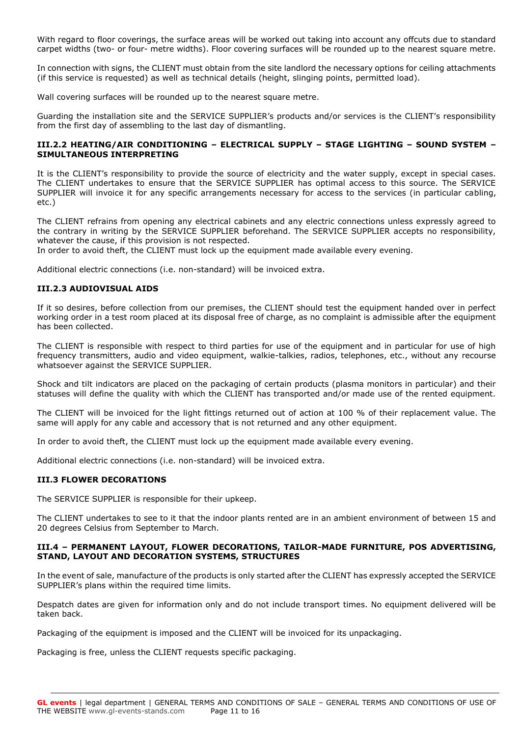With regard to floor coverings, the surface areas will be worked out taking into account any offcuts due to standard carpet widths (two- or four- metre widths). Floor covering surfaces will be rounded up to the nearest square metre.

In connection with signs, the CLIENT must obtain from the site landlord the necessary options for ceiling attachments (if this service is requested) as well as technical details (height, slinging points, permitted load).

Wall covering surfaces will be rounded up to the nearest square metre.

Guarding the installation site and the SERVICE SUPPLIER's products and/or services is the CLIENT's responsibility from the first day of assembling to the last day of dismantling.

### **III.2.2 HEATING/AIR CONDITIONING – ELECTRICAL SUPPLY – STAGE LIGHTING – SOUND SYSTEM – SIMULTANEOUS INTERPRETING**

It is the CLIENT's responsibility to provide the source of electricity and the water supply, except in special cases. The CLIENT undertakes to ensure that the SERVICE SUPPLIER has optimal access to this source. The SERVICE SUPPLIER will invoice it for any specific arrangements necessary for access to the services (in particular cabling, etc.)

The CLIENT refrains from opening any electrical cabinets and any electric connections unless expressly agreed to the contrary in writing by the SERVICE SUPPLIER beforehand. The SERVICE SUPPLIER accepts no responsibility, whatever the cause, if this provision is not respected.

In order to avoid theft, the CLIENT must lock up the equipment made available every evening.

Additional electric connections (i.e. non-standard) will be invoiced extra.

### **III.2.3 AUDIOVISUAL AIDS**

If it so desires, before collection from our premises, the CLIENT should test the equipment handed over in perfect working order in a test room placed at its disposal free of charge, as no complaint is admissible after the equipment has been collected.

The CLIENT is responsible with respect to third parties for use of the equipment and in particular for use of high frequency transmitters, audio and video equipment, walkie-talkies, radios, telephones, etc., without any recourse whatsoever against the SERVICE SUPPLIER.

Shock and tilt indicators are placed on the packaging of certain products (plasma monitors in particular) and their statuses will define the quality with which the CLIENT has transported and/or made use of the rented equipment.

The CLIENT will be invoiced for the light fittings returned out of action at 100 % of their replacement value. The same will apply for any cable and accessory that is not returned and any other equipment.

In order to avoid theft, the CLIENT must lock up the equipment made available every evening.

Additional electric connections (i.e. non-standard) will be invoiced extra.

### **III.3 FLOWER DECORATIONS**

The SERVICE SUPPLIER is responsible for their upkeep.

The CLIENT undertakes to see to it that the indoor plants rented are in an ambient environment of between 15 and 20 degrees Celsius from September to March.

### **III.4 – PERMANENT LAYOUT, FLOWER DECORATIONS, TAILOR-MADE FURNITURE, POS ADVERTISING, STAND, LAYOUT AND DECORATION SYSTEMS, STRUCTURES**

In the event of sale, manufacture of the products is only started after the CLIENT has expressly accepted the SERVICE SUPPLIER's plans within the required time limits.

Despatch dates are given for information only and do not include transport times. No equipment delivered will be taken back.

Packaging of the equipment is imposed and the CLIENT will be invoiced for its unpackaging.

Packaging is free, unless the CLIENT requests specific packaging.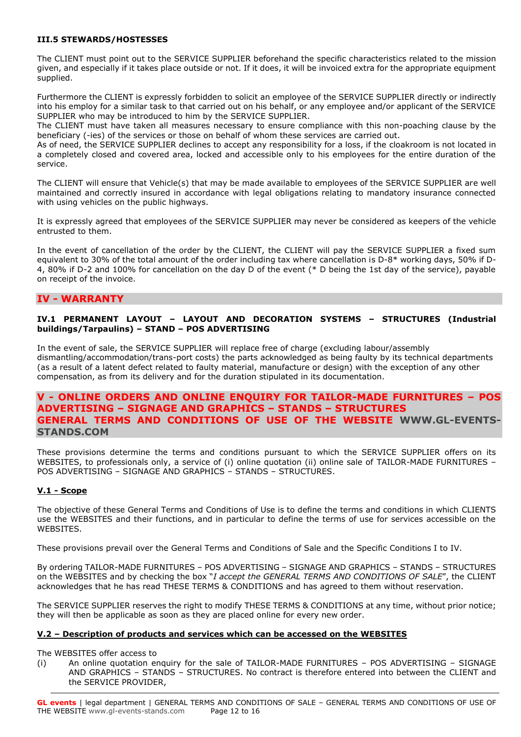### **III.5 STEWARDS/HOSTESSES**

The CLIENT must point out to the SERVICE SUPPLIER beforehand the specific characteristics related to the mission given, and especially if it takes place outside or not. If it does, it will be invoiced extra for the appropriate equipment supplied.

Furthermore the CLIENT is expressly forbidden to solicit an employee of the SERVICE SUPPLIER directly or indirectly into his employ for a similar task to that carried out on his behalf, or any employee and/or applicant of the SERVICE SUPPLIER who may be introduced to him by the SERVICE SUPPLIER.

The CLIENT must have taken all measures necessary to ensure compliance with this non-poaching clause by the beneficiary (-ies) of the services or those on behalf of whom these services are carried out.

As of need, the SERVICE SUPPLIER declines to accept any responsibility for a loss, if the cloakroom is not located in a completely closed and covered area, locked and accessible only to his employees for the entire duration of the service.

The CLIENT will ensure that Vehicle(s) that may be made available to employees of the SERVICE SUPPLIER are well maintained and correctly insured in accordance with legal obligations relating to mandatory insurance connected with using vehicles on the public highways.

It is expressly agreed that employees of the SERVICE SUPPLIER may never be considered as keepers of the vehicle entrusted to them.

In the event of cancellation of the order by the CLIENT, the CLIENT will pay the SERVICE SUPPLIER a fixed sum equivalent to 30% of the total amount of the order including tax where cancellation is D-8\* working days, 50% if D-4, 80% if D-2 and 100% for cancellation on the day D of the event (\* D being the 1st day of the service), payable on receipt of the invoice.

### **IV - WARRANTY**

### **IV.1 PERMANENT LAYOUT – LAYOUT AND DECORATION SYSTEMS – STRUCTURES (Industrial buildings/Tarpaulins) – STAND – POS ADVERTISING**

In the event of sale, the SERVICE SUPPLIER will replace free of charge (excluding labour/assembly dismantling/accommodation/trans-port costs) the parts acknowledged as being faulty by its technical departments (as a result of a latent defect related to faulty material, manufacture or design) with the exception of any other compensation, as from its delivery and for the duration stipulated in its documentation.

# **V - ONLINE ORDERS AND ONLINE ENQUIRY FOR TAILOR-MADE FURNITURES – POS ADVERTISING – SIGNAGE AND GRAPHICS – STANDS – STRUCTURES GENERAL TERMS AND CONDITIONS OF USE OF THE WEBSITE [WWW.GL-EVENTS-](http://www.gl-events-stands.com/)[STANDS.COM](http://www.gl-events-stands.com/)**

These provisions determine the terms and conditions pursuant to which the SERVICE SUPPLIER offers on its WEBSITES, to professionals only, a service of (i) online quotation (ii) online sale of TAILOR-MADE FURNITURES – POS ADVERTISING – SIGNAGE AND GRAPHICS – STANDS – STRUCTURES.

### **V.1 - Scope**

The objective of these General Terms and Conditions of Use is to define the terms and conditions in which CLIENTS use the WEBSITES and their functions, and in particular to define the terms of use for services accessible on the WEBSITES.

These provisions prevail over the General Terms and Conditions of Sale and the Specific Conditions I to IV.

By ordering TAILOR-MADE FURNITURES – POS ADVERTISING – SIGNAGE AND GRAPHICS – STANDS – STRUCTURES on the WEBSITES and by checking the box "*I accept the GENERAL TERMS AND CONDITIONS OF SALE*", the CLIENT acknowledges that he has read THESE TERMS & CONDITIONS and has agreed to them without reservation.

The SERVICE SUPPLIER reserves the right to modify THESE TERMS & CONDITIONS at any time, without prior notice; they will then be applicable as soon as they are placed online for every new order.

### **V.2 – Description of products and services which can be accessed on the WEBSITES**

The WEBSITES offer access to

(i) An online quotation enquiry for the sale of TAILOR-MADE FURNITURES – POS ADVERTISING – SIGNAGE AND GRAPHICS – STANDS – STRUCTURES. No contract is therefore entered into between the CLIENT and the SERVICE PROVIDER,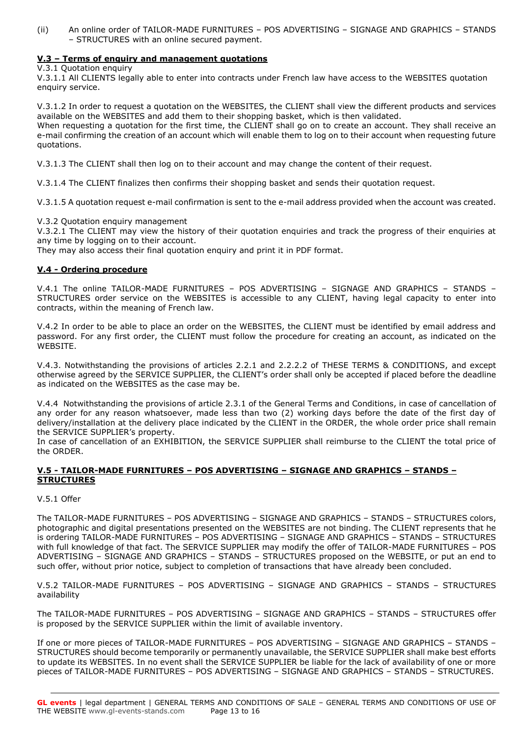(ii) An online order of TAILOR-MADE FURNITURES – POS ADVERTISING – SIGNAGE AND GRAPHICS – STANDS – STRUCTURES with an online secured payment.

### **V.3 – Terms of enquiry and management quotations**

V.3.1 Quotation enquiry

V.3.1.1 All CLIENTS legally able to enter into contracts under French law have access to the WEBSITES quotation enquiry service.

V.3.1.2 In order to request a quotation on the WEBSITES, the CLIENT shall view the different products and services available on the WEBSITES and add them to their shopping basket, which is then validated.

When requesting a quotation for the first time, the CLIENT shall go on to create an account. They shall receive an e-mail confirming the creation of an account which will enable them to log on to their account when requesting future quotations.

V.3.1.3 The CLIENT shall then log on to their account and may change the content of their request.

V.3.1.4 The CLIENT finalizes then confirms their shopping basket and sends their quotation request.

V.3.1.5 A quotation request e-mail confirmation is sent to the e-mail address provided when the account was created.

V.3.2 Quotation enquiry management

V.3.2.1 The CLIENT may view the history of their quotation enquiries and track the progress of their enquiries at any time by logging on to their account.

They may also access their final quotation enquiry and print it in PDF format.

### **V.4 - Ordering procedure**

V.4.1 The online TAILOR-MADE FURNITURES – POS ADVERTISING – SIGNAGE AND GRAPHICS – STANDS – STRUCTURES order service on the WEBSITES is accessible to any CLIENT, having legal capacity to enter into contracts, within the meaning of French law.

V.4.2 In order to be able to place an order on the WEBSITES, the CLIENT must be identified by email address and password. For any first order, the CLIENT must follow the procedure for creating an account, as indicated on the WEBSITE.

V.4.3. Notwithstanding the provisions of articles 2.2.1 and 2.2.2.2 of THESE TERMS & CONDITIONS, and except otherwise agreed by the SERVICE SUPPLIER, the CLIENT's order shall only be accepted if placed before the deadline as indicated on the WEBSITES as the case may be.

V.4.4 Notwithstanding the provisions of article 2.3.1 of the General Terms and Conditions, in case of cancellation of any order for any reason whatsoever, made less than two (2) working days before the date of the first day of delivery/installation at the delivery place indicated by the CLIENT in the ORDER, the whole order price shall remain the SERVICE SUPPLIER's property.

In case of cancellation of an EXHIBITION, the SERVICE SUPPLIER shall reimburse to the CLIENT the total price of the ORDER.

### **V.5 - TAILOR-MADE FURNITURES – POS ADVERTISING – SIGNAGE AND GRAPHICS – STANDS – STRUCTURES**

#### V.5.1 Offer

The TAILOR-MADE FURNITURES – POS ADVERTISING – SIGNAGE AND GRAPHICS – STANDS – STRUCTURES colors, photographic and digital presentations presented on the WEBSITES are not binding. The CLIENT represents that he is ordering TAILOR-MADE FURNITURES – POS ADVERTISING – SIGNAGE AND GRAPHICS – STANDS – STRUCTURES with full knowledge of that fact. The SERVICE SUPPLIER may modify the offer of TAILOR-MADE FURNITURES – POS ADVERTISING – SIGNAGE AND GRAPHICS – STANDS – STRUCTURES proposed on the WEBSITE, or put an end to such offer, without prior notice, subject to completion of transactions that have already been concluded.

V.5.2 TAILOR-MADE FURNITURES – POS ADVERTISING – SIGNAGE AND GRAPHICS – STANDS – STRUCTURES availability

The TAILOR-MADE FURNITURES – POS ADVERTISING – SIGNAGE AND GRAPHICS – STANDS – STRUCTURES offer is proposed by the SERVICE SUPPLIER within the limit of available inventory.

If one or more pieces of TAILOR-MADE FURNITURES – POS ADVERTISING – SIGNAGE AND GRAPHICS – STANDS – STRUCTURES should become temporarily or permanently unavailable, the SERVICE SUPPLIER shall make best efforts to update its WEBSITES. In no event shall the SERVICE SUPPLIER be liable for the lack of availability of one or more pieces of TAILOR-MADE FURNITURES – POS ADVERTISING – SIGNAGE AND GRAPHICS – STANDS – STRUCTURES.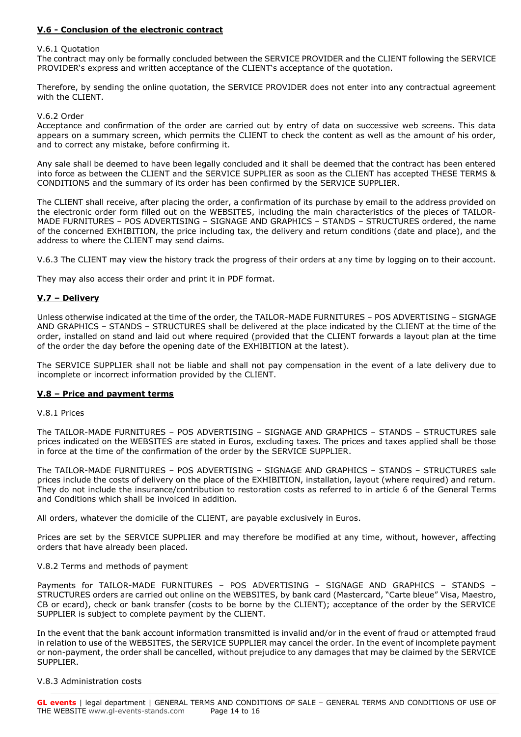### **V.6 - Conclusion of the electronic contract**

#### V.6.1 Quotation

The contract may only be formally concluded between the SERVICE PROVIDER and the CLIENT following the SERVICE PROVIDER's express and written acceptance of the CLIENT's acceptance of the quotation.

Therefore, by sending the online quotation, the SERVICE PROVIDER does not enter into any contractual agreement with the CLIENT.

#### V.6.2 Order

Acceptance and confirmation of the order are carried out by entry of data on successive web screens. This data appears on a summary screen, which permits the CLIENT to check the content as well as the amount of his order, and to correct any mistake, before confirming it.

Any sale shall be deemed to have been legally concluded and it shall be deemed that the contract has been entered into force as between the CLIENT and the SERVICE SUPPLIER as soon as the CLIENT has accepted THESE TERMS & CONDITIONS and the summary of its order has been confirmed by the SERVICE SUPPLIER.

The CLIENT shall receive, after placing the order, a confirmation of its purchase by email to the address provided on the electronic order form filled out on the WEBSITES, including the main characteristics of the pieces of TAILOR-MADE FURNITURES – POS ADVERTISING – SIGNAGE AND GRAPHICS – STANDS – STRUCTURES ordered, the name of the concerned EXHIBITION, the price including tax, the delivery and return conditions (date and place), and the address to where the CLIENT may send claims.

V.6.3 The CLIENT may view the history track the progress of their orders at any time by logging on to their account.

They may also access their order and print it in PDF format.

### **V.7 – Delivery**

Unless otherwise indicated at the time of the order, the TAILOR-MADE FURNITURES – POS ADVERTISING – SIGNAGE AND GRAPHICS – STANDS – STRUCTURES shall be delivered at the place indicated by the CLIENT at the time of the order, installed on stand and laid out where required (provided that the CLIENT forwards a layout plan at the time of the order the day before the opening date of the EXHIBITION at the latest).

The SERVICE SUPPLIER shall not be liable and shall not pay compensation in the event of a late delivery due to incomplete or incorrect information provided by the CLIENT.

### **V.8 – Price and payment terms**

#### V.8.1 Prices

The TAILOR-MADE FURNITURES – POS ADVERTISING – SIGNAGE AND GRAPHICS – STANDS – STRUCTURES sale prices indicated on the WEBSITES are stated in Euros, excluding taxes. The prices and taxes applied shall be those in force at the time of the confirmation of the order by the SERVICE SUPPLIER.

The TAILOR-MADE FURNITURES – POS ADVERTISING – SIGNAGE AND GRAPHICS – STANDS – STRUCTURES sale prices include the costs of delivery on the place of the EXHIBITION, installation, layout (where required) and return. They do not include the insurance/contribution to restoration costs as referred to in article 6 of the General Terms and Conditions which shall be invoiced in addition.

All orders, whatever the domicile of the CLIENT, are payable exclusively in Euros.

Prices are set by the SERVICE SUPPLIER and may therefore be modified at any time, without, however, affecting orders that have already been placed.

V.8.2 Terms and methods of payment

Payments for TAILOR-MADE FURNITURES – POS ADVERTISING – SIGNAGE AND GRAPHICS – STANDS – STRUCTURES orders are carried out online on the WEBSITES, by bank card (Mastercard, "Carte bleue" Visa, Maestro, CB or ecard), check or bank transfer (costs to be borne by the CLIENT); acceptance of the order by the SERVICE SUPPLIER is subject to complete payment by the CLIENT.

In the event that the bank account information transmitted is invalid and/or in the event of fraud or attempted fraud in relation to use of the WEBSITES, the SERVICE SUPPLIER may cancel the order. In the event of incomplete payment or non-payment, the order shall be cancelled, without prejudice to any damages that may be claimed by the SERVICE SUPPLIER.

#### V.8.3 Administration costs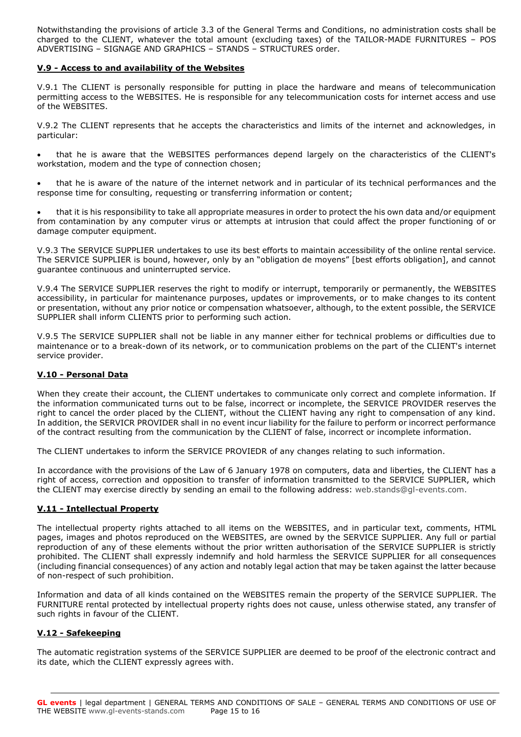Notwithstanding the provisions of article 3.3 of the General Terms and Conditions, no administration costs shall be charged to the CLIENT, whatever the total amount (excluding taxes) of the TAILOR-MADE FURNITURES – POS ADVERTISING – SIGNAGE AND GRAPHICS – STANDS – STRUCTURES order.

### **V.9 - Access to and availability of the Websites**

V.9.1 The CLIENT is personally responsible for putting in place the hardware and means of telecommunication permitting access to the WEBSITES. He is responsible for any telecommunication costs for internet access and use of the WEBSITES.

V.9.2 The CLIENT represents that he accepts the characteristics and limits of the internet and acknowledges, in particular:

 that he is aware that the WEBSITES performances depend largely on the characteristics of the CLIENT's workstation, modem and the type of connection chosen;

 that he is aware of the nature of the internet network and in particular of its technical performances and the response time for consulting, requesting or transferring information or content;

 that it is his responsibility to take all appropriate measures in order to protect the his own data and/or equipment from contamination by any computer virus or attempts at intrusion that could affect the proper functioning of or damage computer equipment.

V.9.3 The SERVICE SUPPLIER undertakes to use its best efforts to maintain accessibility of the online rental service. The SERVICE SUPPLIER is bound, however, only by an "obligation de moyens" [best efforts obligation], and cannot guarantee continuous and uninterrupted service.

V.9.4 The SERVICE SUPPLIER reserves the right to modify or interrupt, temporarily or permanently, the WEBSITES accessibility, in particular for maintenance purposes, updates or improvements, or to make changes to its content or presentation, without any prior notice or compensation whatsoever, although, to the extent possible, the SERVICE SUPPLIER shall inform CLIENTS prior to performing such action.

V.9.5 The SERVICE SUPPLIER shall not be liable in any manner either for technical problems or difficulties due to maintenance or to a break-down of its network, or to communication problems on the part of the CLIENT's internet service provider.

### **V.10 - Personal Data**

When they create their account, the CLIENT undertakes to communicate only correct and complete information. If the information communicated turns out to be false, incorrect or incomplete, the SERVICE PROVIDER reserves the right to cancel the order placed by the CLIENT, without the CLIENT having any right to compensation of any kind. In addition, the SERVICR PROVIDER shall in no event incur liability for the failure to perform or incorrect performance of the contract resulting from the communication by the CLIENT of false, incorrect or incomplete information.

The CLIENT undertakes to inform the SERVICE PROVIEDR of any changes relating to such information.

In accordance with the provisions of the Law of 6 January 1978 on computers, data and liberties, the CLIENT has a right of access, correction and opposition to transfer of information transmitted to the SERVICE SUPPLIER, which the CLIENT may exercise directly by sending an email to the following address: [web.stands@gl-events.com.](mailto:web.stands@gl-events.com)

### **V.11 - Intellectual Property**

The intellectual property rights attached to all items on the WEBSITES, and in particular text, comments, HTML pages, images and photos reproduced on the WEBSITES, are owned by the SERVICE SUPPLIER. Any full or partial reproduction of any of these elements without the prior written authorisation of the SERVICE SUPPLIER is strictly prohibited. The CLIENT shall expressly indemnify and hold harmless the SERVICE SUPPLIER for all consequences (including financial consequences) of any action and notably legal action that may be taken against the latter because of non-respect of such prohibition.

Information and data of all kinds contained on the WEBSITES remain the property of the SERVICE SUPPLIER. The FURNITURE rental protected by intellectual property rights does not cause, unless otherwise stated, any transfer of such rights in favour of the CLIENT.

### **V.12 - Safekeeping**

The automatic registration systems of the SERVICE SUPPLIER are deemed to be proof of the electronic contract and its date, which the CLIENT expressly agrees with.